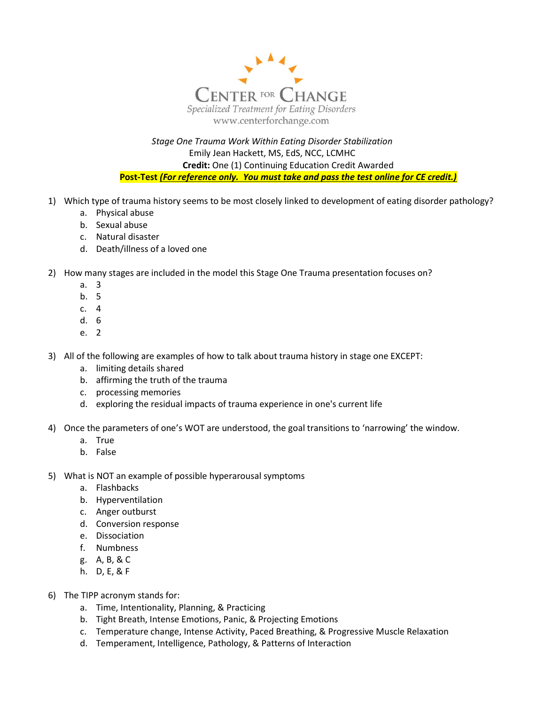

Stage One Trauma Work Within Eating Disorder Stabilization Emily Jean Hackett, MS, EdS, NCC, LCMHC Credit: One (1) Continuing Education Credit Awarded Post-Test (For reference only. You must take and pass the test online for CE credit.)

- 1) Which type of trauma history seems to be most closely linked to development of eating disorder pathology?
	- a. Physical abuse
	- b. Sexual abuse
	- c. Natural disaster
	- d. Death/illness of a loved one
- 2) How many stages are included in the model this Stage One Trauma presentation focuses on?
	- a. 3
	- b. 5
	- c. 4
	- d. 6
	- e. 2
- 3) All of the following are examples of how to talk about trauma history in stage one EXCEPT:
	- a. limiting details shared
	- b. affirming the truth of the trauma
	- c. processing memories
	- d. exploring the residual impacts of trauma experience in one's current life
- 4) Once the parameters of one's WOT are understood, the goal transitions to 'narrowing' the window.
	- a. True
	- b. False
- 5) What is NOT an example of possible hyperarousal symptoms
	- a. Flashbacks
	- b. Hyperventilation
	- c. Anger outburst
	- d. Conversion response
	- e. Dissociation
	- f. Numbness
	- g. A, B, & C
	- h. D, E, & F
- 6) The TIPP acronym stands for:
	- a. Time, Intentionality, Planning, & Practicing
	- b. Tight Breath, Intense Emotions, Panic, & Projecting Emotions
	- c. Temperature change, Intense Activity, Paced Breathing, & Progressive Muscle Relaxation
	- d. Temperament, Intelligence, Pathology, & Patterns of Interaction